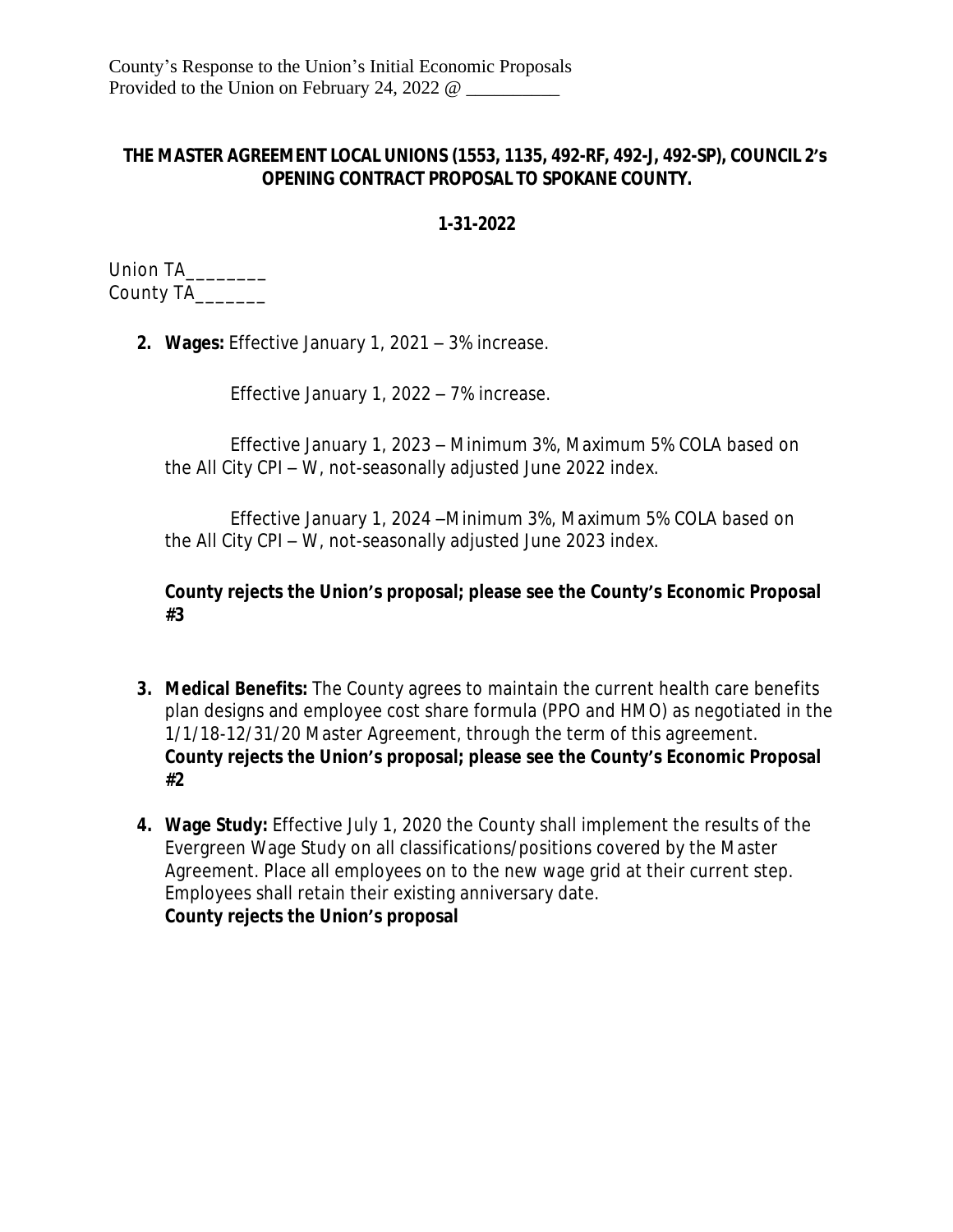## **THE MASTER AGREEMENT LOCAL UNIONS (1553, 1135, 492-RF, 492-J, 492-SP), COUNCIL 2's OPENING CONTRACT PROPOSAL TO SPOKANE COUNTY.**

## **1-31-2022**

Union TA\_\_\_\_\_\_\_\_ County TA\_\_\_\_\_\_\_

**2. Wages:** Effective January 1, 2021 – 3% increase.

Effective January 1, 2022 – 7% increase.

Effective January 1, 2023 – Minimum 3%, Maximum 5% COLA based on the All City CPI – W, not-seasonally adjusted June 2022 index.

Effective January 1, 2024 –Minimum 3%, Maximum 5% COLA based on the All City CPI – W, not-seasonally adjusted June 2023 index.

## **County rejects the Union's proposal; please see the County's Economic Proposal #3**

- **3. Medical Benefits:** The County agrees to maintain the current health care benefits plan designs and employee cost share formula (PPO and HMO) as negotiated in the 1/1/18-12/31/20 Master Agreement, through the term of this agreement. **County rejects the Union's proposal; please see the County's Economic Proposal #2**
- **4. Wage Study:** Effective July 1, 2020 the County shall implement the results of the Evergreen Wage Study on all classifications/positions covered by the Master Agreement. Place all employees on to the new wage grid at their current step. Employees shall retain their existing anniversary date. **County rejects the Union's proposal**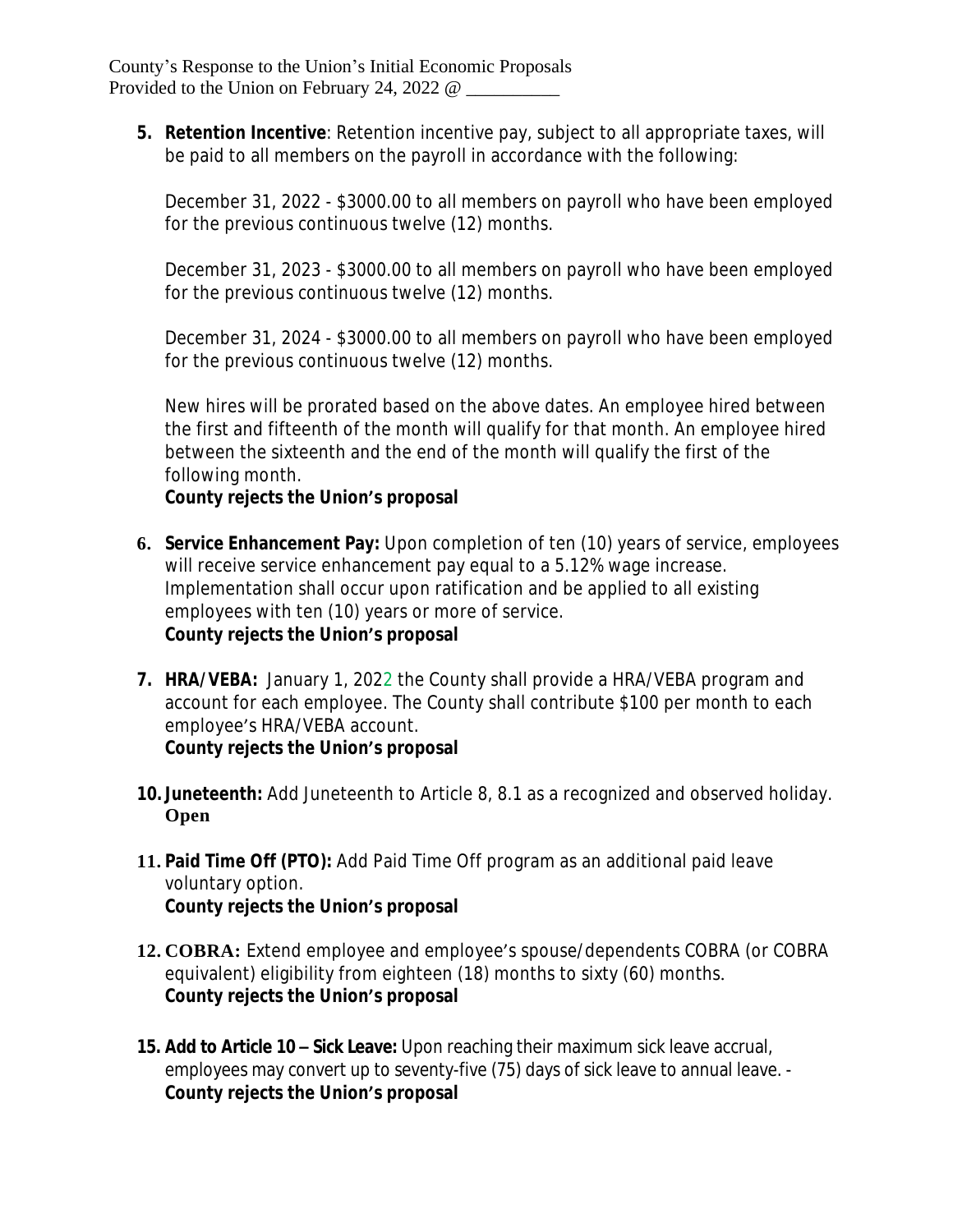**5. Retention Incentive**: Retention incentive pay, subject to all appropriate taxes, will be paid to all members on the payroll in accordance with the following:

December 31, 2022 - \$3000.00 to all members on payroll who have been employed for the previous continuous twelve (12) months.

December 31, 2023 - \$3000.00 to all members on payroll who have been employed for the previous continuous twelve (12) months.

December 31, 2024 - \$3000.00 to all members on payroll who have been employed for the previous continuous twelve (12) months.

New hires will be prorated based on the above dates. An employee hired between the first and fifteenth of the month will qualify for that month. An employee hired between the sixteenth and the end of the month will qualify the first of the following month.

## **County rejects the Union's proposal**

- **6. Service Enhancement Pay:** Upon completion of ten (10) years of service, employees will receive service enhancement pay equal to a 5.12% wage increase. Implementation shall occur upon ratification and be applied to all existing employees with ten (10) years or more of service. **County rejects the Union's proposal**
- **7. HRA/VEBA:** January 1, 2022 the County shall provide a HRA/VEBA program and account for each employee. The County shall contribute \$100 per month to each employee's HRA/VEBA account.

**County rejects the Union's proposal**

- **10. Juneteenth:** Add Juneteenth to Article 8, 8.1 as a recognized and observed holiday. **Open**
- **11. Paid Time Off (PTO):** Add Paid Time Off program as an additional paid leave voluntary option. **County rejects the Union's proposal**
- **12. COBRA:** Extend employee and employee's spouse/dependents COBRA (or COBRA equivalent) eligibility from eighteen (18) months to sixty (60) months. **County rejects the Union's proposal**
- **15. Add to Article 10 – Sick Leave:** Upon reaching their maximum sick leave accrual, employees may convert up to seventy-five (75) days of sick leave to annual leave. - **County rejects the Union's proposal**